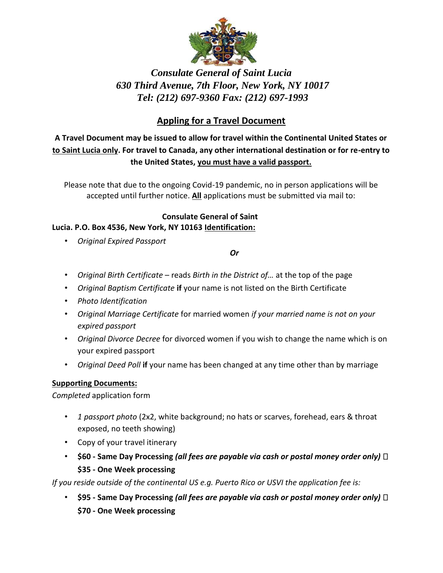

# *Consulate General of Saint Lucia 630 Third Avenue, 7th Floor, New York, NY 10017 Tel: (212) 697-9360 Fax: (212) 697-1993*

## **Appling for a Travel Document**

**A Travel Document may be issued to allow for travel within the Continental United States or to Saint Lucia only. For travel to Canada, any other international destination or for re-entry to the United States, you must have a valid passport.**

Please note that due to the ongoing Covid-19 pandemic, no in person applications will be accepted until further notice. **All** applications must be submitted via mail to:

#### **Consulate General of Saint Lucia. P.O. Box 4536, New York, NY 10163 Identification:**

• *Original Expired Passport*

#### *Or*

- *Original Birth Certificate* reads *Birth in the District of…* at the top of the page
- *Original Baptism Certificate* **if** your name is not listed on the Birth Certificate
- *Photo Identification*
- *Original Marriage Certificate* for married women *if your married name is not on your expired passport*
- *Original Divorce Decree* for divorced women if you wish to change the name which is on your expired passport
- *Original Deed Poll* **if** your name has been changed at any time other than by marriage

### **Supporting Documents:**

*Completed* application form

- *1 passport photo* (2x2, white background; no hats or scarves, forehead, ears & throat exposed, no teeth showing)
- Copy of your travel itinerary
- **\$60 - Same Day Processing** *(all fees are payable via cash or postal money order only)*  **\$35 - One Week processing**

*If you reside outside of the continental US e.g. Puerto Rico or USVI the application fee is:*

• **\$95 - Same Day Processing** *(all fees are payable via cash or postal money order only)*  **\$70 - One Week processing**